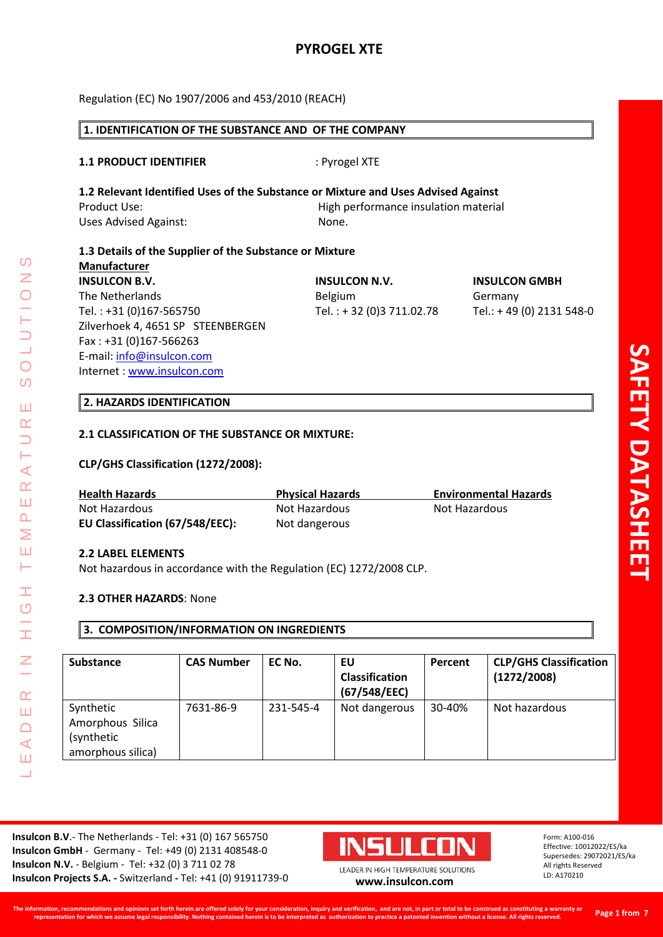# **PYROGEL XTE**

Regulation (EC) No 1907/2006 and 453/2010 (REACH)

# **1. IDENTIFICATION OF THE SUBSTANCE AND OF THE COMPANY 1.1 PRODUCT IDENTIFIER** : Pyrogel XTE **1.2 Relevant Identified Uses of the Substance or Mixture and Uses Advised Against** Product Use: High performance insulation material Uses Advised Against: None. **1.3 Details of the Supplier of the Substance or Mixture Manufacturer INSULCON B.V. INSULCON N.V. INSULCON GMBH** The Netherlands **Belgium** Belgium Germany Tel. : +31 (0)167-565750 Tel. : + 32 (0)3 711.02.78 Tel.: + 49 (0) 2131 548-0 Zilverhoek 4, 4651 SP STEENBERGEN Fax : +31 (0)167-566263 E-mail: [info@insulcon.com](mailto:info@insulcon.com) Internet : [www.insulcon.com](http://www.insulcon.com/)

#### **2. HAZARDS IDENTIFICATION**

#### **2.1 CLASSIFICATION OF THE SUBSTANCE OR MIXTURE:**

#### **CLP/GHS Classification (1272/2008):**

| <b>Health Hazards</b>           | <b>Physical Hazards</b> | <b>Environmental Hazards</b> |
|---------------------------------|-------------------------|------------------------------|
| Not Hazardous                   | Not Hazardous           | Not Hazardous                |
| EU Classification (67/548/EEC): | Not dangerous           |                              |

#### **2.2 LABEL ELEMENTS**

LEADER IN HIGH TEMPERATURE SOLUTIONS

Ŧ  $\circ$ 

I

 $\alpha$ Ш  $\bigcap$  $\blacktriangleleft$ Ш  $\overline{\phantom{0}}$ 

 $\blacktriangleleft$  $\alpha$ Ш  $\overline{\mathbf{r}}$ Σ Ш Н

 $\Omega$ 

 $\bigcirc$  $\overline{O}$ 

Ш  $\alpha$ 

Not hazardous in accordance with the Regulation (EC) 1272/2008 CLP.

#### **2.3 OTHER HAZARDS**: None

#### **3. COMPOSITION/INFORMATION ON INGREDIENTS**

| <b>Substance</b>                                                 | <b>CAS Number</b> | EC No.    | EU<br><b>Classification</b><br>(67/548/EEC) | Percent | <b>CLP/GHS Classification</b><br>(1272/2008) |
|------------------------------------------------------------------|-------------------|-----------|---------------------------------------------|---------|----------------------------------------------|
| Synthetic<br>Amorphous Silica<br>(synthetic<br>amorphous silica) | 7631-86-9         | 231-545-4 | Not dangerous                               | 30-40%  | Not hazardous                                |

**Insulcon B.V**.- The Netherlands - Tel: +31 (0) 167 565750 **Insulcon GmbH** - Germany - Tel: +49 (0) 2131 408548-0 **Insulcon N.V.** - Belgium - Tel: +32 (0) 3 711 02 78 **Insulcon Projects S.A. -** Switzerland **-** Tel: +41 (0) 91911739-0 **[www.insulcon.com](http://www.insulcon.com/)**

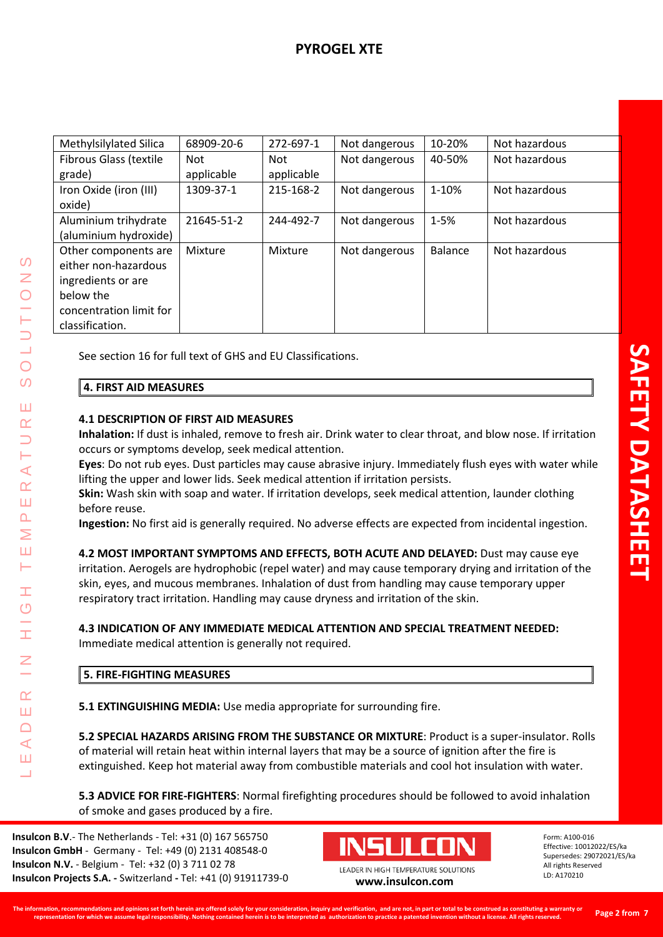| Methylsilylated Silica  | 68909-20-6 | 272-697-1  | Not dangerous | 10-20%         | Not hazardous |
|-------------------------|------------|------------|---------------|----------------|---------------|
| Fibrous Glass (textile  | <b>Not</b> | <b>Not</b> | Not dangerous | 40-50%         | Not hazardous |
| grade)                  | applicable | applicable |               |                |               |
| Iron Oxide (iron (III)  | 1309-37-1  | 215-168-2  | Not dangerous | 1-10%          | Not hazardous |
| oxide)                  |            |            |               |                |               |
| Aluminium trihydrate    | 21645-51-2 | 244-492-7  | Not dangerous | $1 - 5%$       | Not hazardous |
| (aluminium hydroxide)   |            |            |               |                |               |
| Other components are    | Mixture    | Mixture    | Not dangerous | <b>Balance</b> | Not hazardous |
| either non-hazardous    |            |            |               |                |               |
| ingredients or are      |            |            |               |                |               |
| below the               |            |            |               |                |               |
| concentration limit for |            |            |               |                |               |
| classification.         |            |            |               |                |               |

See section 16 for full text of GHS and EU Classifications.

## **4. FIRST AID MEASURES**

LEADER IN HIGH TEMPERATURE SOLUTIONS

Ŧ  $\circ$ 

 $\alpha$ Ш  $\Box$  $\blacktriangleleft$ Ш

 $\blacktriangleleft$  $\alpha$ Ш  $\overline{\mathbf{r}}$ Σ Ш н

 $\Omega$ 

 $\overline{O}$  $\overline{O}$ 

Ш  $\alpha$ 

## **4.1 DESCRIPTION OF FIRST AID MEASURES**

**Inhalation:** If dust is inhaled, remove to fresh air. Drink water to clear throat, and blow nose. If irritation occurs or symptoms develop, seek medical attention.

**Eyes**: Do not rub eyes. Dust particles may cause abrasive injury. Immediately flush eyes with water while lifting the upper and lower lids. Seek medical attention if irritation persists.

**Skin:** Wash skin with soap and water. If irritation develops, seek medical attention, launder clothing before reuse.

**Ingestion:** No first aid is generally required. No adverse effects are expected from incidental ingestion.

**4.2 MOST IMPORTANT SYMPTOMS AND EFFECTS, BOTH ACUTE AND DELAYED:** Dust may cause eye irritation. Aerogels are hydrophobic (repel water) and may cause temporary drying and irritation of the skin, eyes, and mucous membranes. Inhalation of dust from handling may cause temporary upper respiratory tract irritation. Handling may cause dryness and irritation of the skin.

# **4.3 INDICATION OF ANY IMMEDIATE MEDICAL ATTENTION AND SPECIAL TREATMENT NEEDED:**

Immediate medical attention is generally not required.

# **5. FIRE-FIGHTING MEASURES**

**5.1 EXTINGUISHING MEDIA:** Use media appropriate for surrounding fire.

**5.2 SPECIAL HAZARDS ARISING FROM THE SUBSTANCE OR MIXTURE**: Product is a super-insulator. Rolls of material will retain heat within internal layers that may be a source of ignition after the fire is extinguished. Keep hot material away from combustible materials and cool hot insulation with water.

**5.3 ADVICE FOR FIRE-FIGHTERS**: Normal firefighting procedures should be followed to avoid inhalation of smoke and gases produced by a fire.

**Insulcon B.V**.- The Netherlands - Tel: +31 (0) 167 565750 **Insulcon GmbH** - Germany - Tel: +49 (0) 2131 408548-0 **Insulcon N.V.** - Belgium - Tel: +32 (0) 3 711 02 78 **Insulcon Projects S.A. -** Switzerland **-** Tel: +41 (0) 91911739-0 **[www.insulcon.com](http://www.insulcon.com/)**

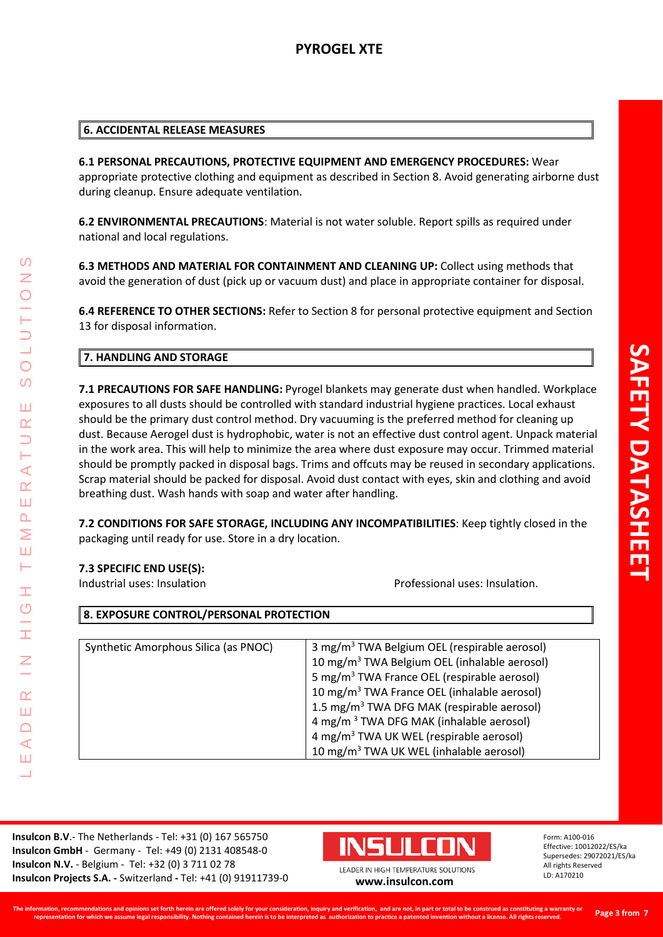**6.1 PERSONAL PRECAUTIONS, PROTECTIVE EQUIPMENT AND EMERGENCY PROCEDURES:** Wear appropriate protective clothing and equipment as described in Section 8. Avoid generating airborne dust during cleanup. Ensure adequate ventilation.

**6.2 ENVIRONMENTAL PRECAUTIONS**: Material is not water soluble. Report spills as required under national and local regulations.

**6.3 METHODS AND MATERIAL FOR CONTAINMENT AND CLEANING UP:** Collect using methods that avoid the generation of dust (pick up or vacuum dust) and place in appropriate container for disposal.

**6.4 REFERENCE TO OTHER SECTIONS:** Refer to Section 8 for personal protective equipment and Section 13 for disposal information.

## **7. HANDLING AND STORAGE**

**7.1 PRECAUTIONS FOR SAFE HANDLING:** Pyrogel blankets may generate dust when handled. Workplace exposures to all dusts should be controlled with standard industrial hygiene practices. Local exhaust should be the primary dust control method. Dry vacuuming is the preferred method for cleaning up dust. Because Aerogel dust is hydrophobic, water is not an effective dust control agent. Unpack material in the work area. This will help to minimize the area where dust exposure may occur. Trimmed material should be promptly packed in disposal bags. Trims and offcuts may be reused in secondary applications. Scrap material should be packed for disposal. Avoid dust contact with eyes, skin and clothing and avoid breathing dust. Wash hands with soap and water after handling.

**7.2 CONDITIONS FOR SAFE STORAGE, INCLUDING ANY INCOMPATIBILITIES**: Keep tightly closed in the packaging until ready for use. Store in a dry location.

## **7.3 SPECIFIC END USE(S):**

LEADER IN HIGH TEMPERATURE SOLUTIONS

Ŧ  $\overline{C}$ 

I

 $\alpha$ Ш  $\Box$  $\blacktriangleleft$ Ш  $\overline{\phantom{0}}$ 

 $\prec$  $\alpha$ Ш  $\overline{\mathbf{r}}$ Σ Ш н

 $\Omega$ 

 $\overline{O}$  $\Omega$ 

Ш  $\alpha$ 

Industrial uses: Insulation Professional uses: Insulation.

| 8. EXPOSURE CONTROL/PERSONAL PROTECTION |                                                          |  |  |
|-----------------------------------------|----------------------------------------------------------|--|--|
|                                         |                                                          |  |  |
| Synthetic Amorphous Silica (as PNOC)    | 3 mg/m <sup>3</sup> TWA Belgium OEL (respirable aerosol) |  |  |
|                                         | 10 mg/m <sup>3</sup> TWA Belgium OEL (inhalable aerosol) |  |  |
|                                         | 5 mg/m <sup>3</sup> TWA France OEL (respirable aerosol)  |  |  |
|                                         | 10 mg/m <sup>3</sup> TWA France OEL (inhalable aerosol)  |  |  |
|                                         | 1.5 mg/m <sup>3</sup> TWA DFG MAK (respirable aerosol)   |  |  |
|                                         | 4 mg/m <sup>3</sup> TWA DFG MAK (inhalable aerosol)      |  |  |
|                                         | 4 mg/m <sup>3</sup> TWA UK WEL (respirable aerosol)      |  |  |
|                                         | 10 mg/m <sup>3</sup> TWA UK WEL (inhalable aerosol)      |  |  |

**Insulcon B.V**.- The Netherlands - Tel: +31 (0) 167 565750 **Insulcon GmbH** - Germany - Tel: +49 (0) 2131 408548-0 **Insulcon N.V.** - Belgium - Tel: +32 (0) 3 711 02 78 **Insulcon Projects S.A. -** Switzerland **-** Tel: +41 (0) 91911739-0 **[www.insulcon.com](http://www.insulcon.com/)**

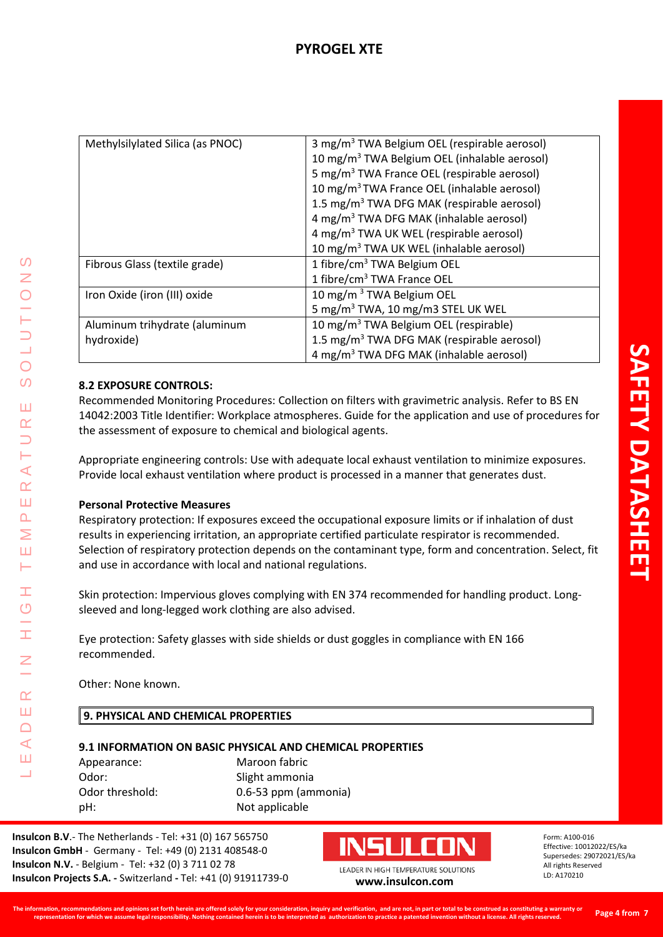| Methylsilylated Silica (as PNOC)            | 3 mg/m <sup>3</sup> TWA Belgium OEL (respirable aerosol)<br>10 mg/m <sup>3</sup> TWA Belgium OEL (inhalable aerosol)<br>5 mg/m <sup>3</sup> TWA France OEL (respirable aerosol)<br>10 mg/m <sup>3</sup> TWA France OEL (inhalable aerosol)<br>1.5 mg/m <sup>3</sup> TWA DFG MAK (respirable aerosol) |
|---------------------------------------------|------------------------------------------------------------------------------------------------------------------------------------------------------------------------------------------------------------------------------------------------------------------------------------------------------|
|                                             | 4 mg/m <sup>3</sup> TWA DFG MAK (inhalable aerosol)<br>4 mg/m <sup>3</sup> TWA UK WEL (respirable aerosol)<br>10 mg/m <sup>3</sup> TWA UK WEL (inhalable aerosol)                                                                                                                                    |
| Fibrous Glass (textile grade)               | 1 fibre/cm <sup>3</sup> TWA Belgium OEL<br>1 fibre/cm <sup>3</sup> TWA France OEL                                                                                                                                                                                                                    |
| Iron Oxide (iron (III) oxide                | 10 mg/m <sup>3</sup> TWA Belgium OEL<br>5 mg/m <sup>3</sup> TWA, 10 mg/m3 STEL UK WEL                                                                                                                                                                                                                |
| Aluminum trihydrate (aluminum<br>hydroxide) | 10 mg/m <sup>3</sup> TWA Belgium OEL (respirable)<br>1.5 mg/m <sup>3</sup> TWA DFG MAK (respirable aerosol)<br>4 mg/m <sup>3</sup> TWA DFG MAK (inhalable aerosol)                                                                                                                                   |

# **8.2 EXPOSURE CONTROLS:**

Recommended Monitoring Procedures: Collection on filters with gravimetric analysis. Refer to BS EN 14042:2003 Title Identifier: Workplace atmospheres. Guide for the application and use of procedures for the assessment of exposure to chemical and biological agents.

Appropriate engineering controls: Use with adequate local exhaust ventilation to minimize exposures. Provide local exhaust ventilation where product is processed in a manner that generates dust.

## **Personal Protective Measures**

LEADER IN HIGH TEMPERATURE SOLUTIONS

Ŧ  $\overline{C}$ 

 $\alpha$ Ш  $\bigcap$  $\blacktriangleleft$ Ш  $\overline{\phantom{0}}$ 

 $\prec$  $\alpha$ Ш  $\overline{\mathbf{r}}$ Σ Ш H.

 $\Omega$ Z

 $\bigcirc$  $\Omega$ 

Ш  $\alpha$ 

> Respiratory protection: If exposures exceed the occupational exposure limits or if inhalation of dust results in experiencing irritation, an appropriate certified particulate respirator is recommended. Selection of respiratory protection depends on the contaminant type, form and concentration. Select, fit and use in accordance with local and national regulations.

Skin protection: Impervious gloves complying with EN 374 recommended for handling product. Longsleeved and long-legged work clothing are also advised.

Eye protection: Safety glasses with side shields or dust goggles in compliance with EN 166 recommended.

Other: None known.

## **9. PHYSICAL AND CHEMICAL PROPERTIES**

#### **9.1 INFORMATION ON BASIC PHYSICAL AND CHEMICAL PROPERTIES**

Appearance: Maroon fabric Odor: Slight ammonia Odor threshold: 0.6-53 ppm (ammonia) pH: Not applicable

**Insulcon B.V**.- The Netherlands - Tel: +31 (0) 167 565750 **Insulcon GmbH** - Germany - Tel: +49 (0) 2131 408548-0 **Insulcon N.V.** - Belgium - Tel: +32 (0) 3 711 02 78 **Insulcon Projects S.A. -** Switzerland **-** Tel: +41 (0) 91911739-0 **[www.insulcon.com](http://www.insulcon.com/)**

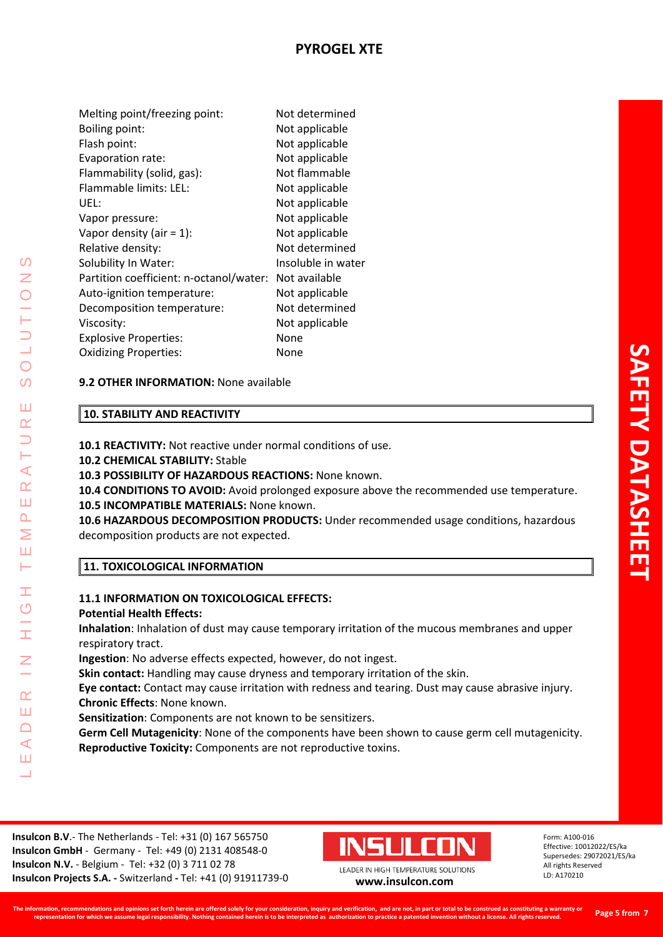| Melting point/freezing point:           | Not determined     |
|-----------------------------------------|--------------------|
| Boiling point:                          | Not applicable     |
| Flash point:                            | Not applicable     |
| Evaporation rate:                       | Not applicable     |
| Flammability (solid, gas):              | Not flammable      |
| Flammable limits: LEL:                  | Not applicable     |
| UEL:                                    | Not applicable     |
| Vapor pressure:                         | Not applicable     |
| Vapor density (air = $1$ ):             | Not applicable     |
| Relative density:                       | Not determined     |
| Solubility In Water:                    | Insoluble in water |
| Partition coefficient: n-octanol/water: | Not available      |
| Auto-ignition temperature:              | Not applicable     |
| Decomposition temperature:              | Not determined     |
| Viscosity:                              | Not applicable     |
| <b>Explosive Properties:</b>            | None               |
| <b>Oxidizing Properties:</b>            | None               |

# **9.2 OTHER INFORMATION:** None available

# **10. STABILITY AND REACTIVITY**

**10.1 REACTIVITY:** Not reactive under normal conditions of use.

## **10.2 CHEMICAL STABILITY:** Stable

**10.3 POSSIBILITY OF HAZARDOUS REACTIONS:** None known.

**10.4 CONDITIONS TO AVOID:** Avoid prolonged exposure above the recommended use temperature. **10.5 INCOMPATIBLE MATERIALS:** None known.

**10.6 HAZARDOUS DECOMPOSITION PRODUCTS:** Under recommended usage conditions, hazardous decomposition products are not expected.

## **11. TOXICOLOGICAL INFORMATION**

# **11.1 INFORMATION ON TOXICOLOGICAL EFFECTS:**

## **Potential Health Effects:**

LEADER IN HIGH TEMPERATURE SOLUTIONS

Ŧ  $\overline{O}$ 

 $\alpha$ Ш  $\Box$  $\blacktriangleleft$ Ш  $\overline{\phantom{0}}$ 

 $\blacktriangleleft$  $\alpha$ Ш  $\overline{\mathbf{r}}$ Σ Ш H.

 $\Omega$ Z

 $\overline{O}$  $\Omega$ 

Ш  $\alpha$ 

> **Inhalation**: Inhalation of dust may cause temporary irritation of the mucous membranes and upper respiratory tract.

**Ingestion**: No adverse effects expected, however, do not ingest.

**Skin contact:** Handling may cause dryness and temporary irritation of the skin.

**Eye contact:** Contact may cause irritation with redness and tearing. Dust may cause abrasive injury. **Chronic Effects**: None known.

**Sensitization**: Components are not known to be sensitizers.

**Germ Cell Mutagenicity**: None of the components have been shown to cause germ cell mutagenicity. **Reproductive Toxicity:** Components are not reproductive toxins.

**Insulcon B.V**.- The Netherlands - Tel: +31 (0) 167 565750 **Insulcon GmbH** - Germany - Tel: +49 (0) 2131 408548-0 **Insulcon N.V.** - Belgium - Tel: +32 (0) 3 711 02 78 **Insulcon Projects S.A. -** Switzerland **-** Tel: +41 (0) 91911739-0 **[www.insulcon.com](http://www.insulcon.com/)**

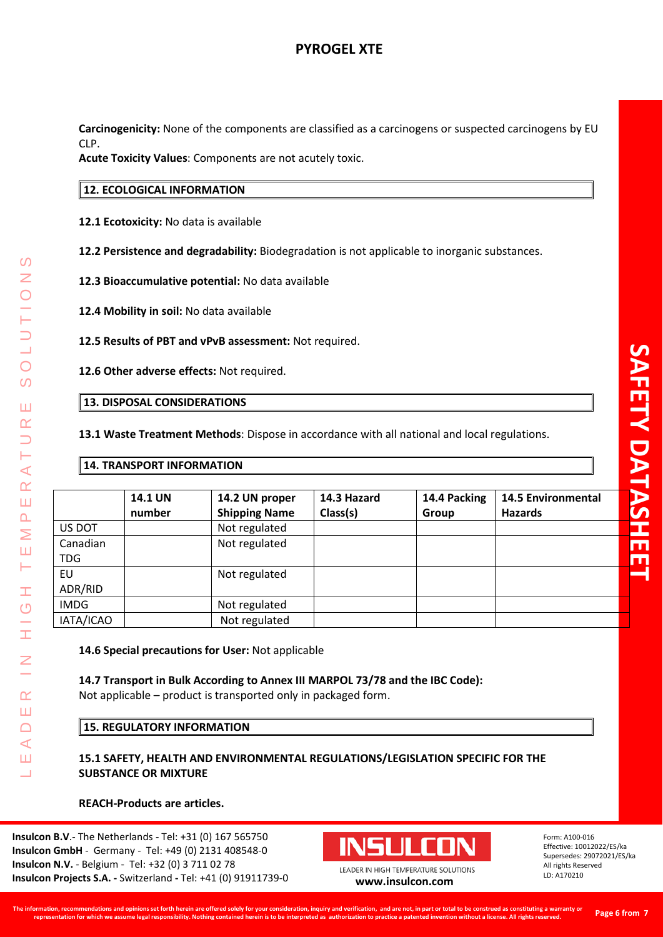# **PYROGEL XTE**

**Carcinogenicity:** None of the components are classified as a carcinogens or suspected carcinogens by EU CLP.

**Acute Toxicity Values**: Components are not acutely toxic.

# **12. ECOLOGICAL INFORMATION**

**12.1 Ecotoxicity:** No data is available

**12.2 Persistence and degradability:** Biodegradation is not applicable to inorganic substances.

**12.3 Bioaccumulative potential:** No data available

**12.4 Mobility in soil:** No data available

**12.5 Results of PBT and vPvB assessment:** Not required.

**12.6 Other adverse effects:** Not required.

#### **13. DISPOSAL CONSIDERATIONS**

**13.1 Waste Treatment Methods**: Dispose in accordance with all national and local regulations.

#### **14. TRANSPORT INFORMATION**

LEADER IN HIGH TEMPERATURE SOLUTIONS

Ŧ  $\overline{O}$ 

 $\alpha$ Ш  $\Box$  $\blacktriangleleft$ Ш  $\overline{\phantom{0}}$ 

 $\prec$  $\underline{\alpha}$ Ш  $\Delta$  $\geq$ Ш Н

 $\Omega$ 

 $\bigcirc$ 

 $\mathcal{O}$ 

Ш  $\alpha$ 

|             | <b>14.1 UN</b> | 14.2 UN proper       | 14.3 Hazard | 14.4 Packing | <b>14.5 Environmental</b> |
|-------------|----------------|----------------------|-------------|--------------|---------------------------|
|             | number         | <b>Shipping Name</b> | Class(s)    | Group        | <b>Hazards</b>            |
| US DOT      |                | Not regulated        |             |              |                           |
| Canadian    |                | Not regulated        |             |              |                           |
| TDG         |                |                      |             |              |                           |
| EU          |                | Not regulated        |             |              |                           |
| ADR/RID     |                |                      |             |              |                           |
| <b>IMDG</b> |                | Not regulated        |             |              |                           |
| IATA/ICAO   |                | Not regulated        |             |              |                           |

**14.6 Special precautions for User:** Not applicable

**14.7 Transport in Bulk According to Annex III MARPOL 73/78 and the IBC Code):** Not applicable – product is transported only in packaged form.

#### **15. REGULATORY INFORMATION**

## **15.1 SAFETY, HEALTH AND ENVIRONMENTAL REGULATIONS/LEGISLATION SPECIFIC FOR THE SUBSTANCE OR MIXTURE**

## **REACH-Products are articles.**

**Insulcon B.V**.- The Netherlands - Tel: +31 (0) 167 565750 **Insulcon GmbH** - Germany - Tel: +49 (0) 2131 408548-0 **Insulcon N.V.** - Belgium - Tel: +32 (0) 3 711 02 78 **Insulcon Projects S.A. -** Switzerland **-** Tel: +41 (0) 91911739-0 **[www.insulcon.com](http://www.insulcon.com/)**